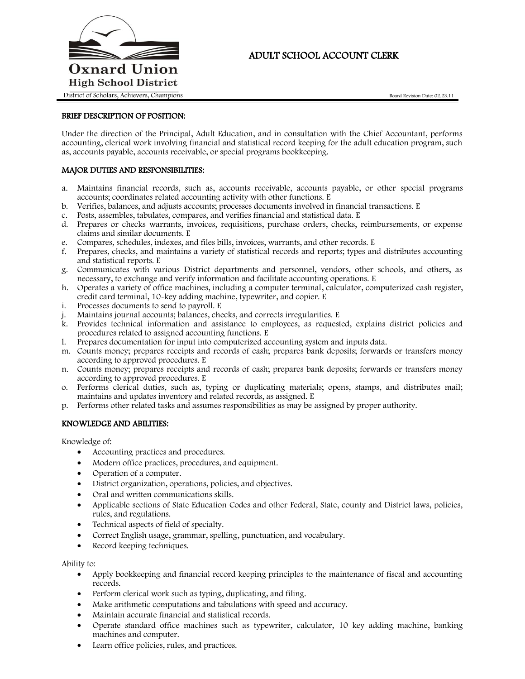

# ADULT SCHOOL ACCOUNT CLERK

## BRIEF DESCRIPTION OF POSITION:

Under the direction of the Principal, Adult Education, and in consultation with the Chief Accountant, performs accounting, clerical work involving financial and statistical record keeping for the adult education program, such as, accounts payable, accounts receivable, or special programs bookkeeping.

## MAJOR DUTIES AND RESPONSIBILITIES:

- a. Maintains financial records, such as, accounts receivable, accounts payable, or other special programs accounts; coordinates related accounting activity with other functions. E
- b. Verifies, balances, and adjusts accounts; processes documents involved in financial transactions. E
- c. Posts, assembles, tabulates, compares, and verifies financial and statistical data. E
- d. Prepares or checks warrants, invoices, requisitions, purchase orders, checks, reimbursements, or expense claims and similar documents. E
- e. Compares, schedules, indexes, and files bills, invoices, warrants, and other records. E
- f. Prepares, checks, and maintains a variety of statistical records and reports; types and distributes accounting and statistical reports. E
- g. Communicates with various District departments and personnel, vendors, other schools, and others, as necessary, to exchange and verify information and facilitate accounting operations. E
- h. Operates a variety of office machines, including a computer terminal, calculator, computerized cash register, credit card terminal, 10-key adding machine, typewriter, and copier. E
- i. Processes documents to send to payroll. E
- j. Maintains journal accounts; balances, checks, and corrects irregularities. E
- k. Provides technical information and assistance to employees, as requested, explains district policies and procedures related to assigned accounting functions. E
- l. Prepares documentation for input into computerized accounting system and inputs data.
- m. Counts money; prepares receipts and records of cash; prepares bank deposits; forwards or transfers money according to approved procedures. E
- n. Counts money; prepares receipts and records of cash; prepares bank deposits; forwards or transfers money according to approved procedures. E
- o. Performs clerical duties, such as, typing or duplicating materials; opens, stamps, and distributes mail; maintains and updates inventory and related records, as assigned. E
- p. Performs other related tasks and assumes responsibilities as may be assigned by proper authority.

## KNOWLEDGE AND ABILITIES:

Knowledge of:

- Accounting practices and procedures.
- Modern office practices, procedures, and equipment.
- Operation of a computer.
- District organization, operations, policies, and objectives.
- Oral and written communications skills.
- Applicable sections of State Education Codes and other Federal, State, county and District laws, policies, rules, and regulations.
- Technical aspects of field of specialty.
- Correct English usage, grammar, spelling, punctuation, and vocabulary.
- Record keeping techniques.

Ability to:

- Apply bookkeeping and financial record keeping principles to the maintenance of fiscal and accounting records.
- Perform clerical work such as typing, duplicating, and filing.
- Make arithmetic computations and tabulations with speed and accuracy.
- Maintain accurate financial and statistical records.
- Operate standard office machines such as typewriter, calculator, 10 key adding machine, banking machines and computer.
- Learn office policies, rules, and practices.